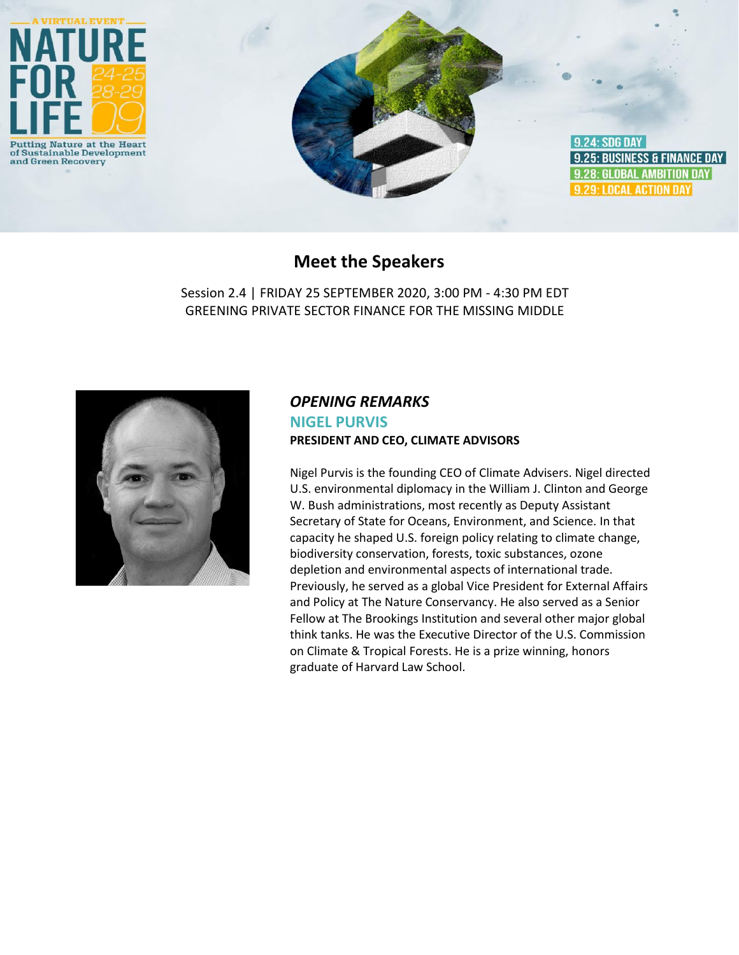

## **Meet the Speakers**

Session 2.4 | FRIDAY 25 SEPTEMBER 2020, 3:00 PM - 4:30 PM EDT GREENING PRIVATE SECTOR FINANCE FOR THE MISSING MIDDLE



### *OPENING REMARKS* **NIGEL PURVIS PRESIDENT AND CEO, CLIMATE ADVISORS**

Nigel Purvis is the founding CEO of Climate Advisers. Nigel directed U.S. environmental diplomacy in the William J. Clinton and George W. Bush administrations, most recently as Deputy Assistant Secretary of State for Oceans, Environment, and Science. In that capacity he shaped U.S. foreign policy relating to climate change, biodiversity conservation, forests, toxic substances, ozone depletion and environmental aspects of international trade. Previously, he served as a global Vice President for External Affairs and Policy at The Nature Conservancy. He also served as a Senior Fellow at The Brookings Institution and several other major global think tanks. He was the Executive Director of the U.S. Commission on Climate & Tropical Forests. He is a prize winning, honors graduate of Harvard Law School.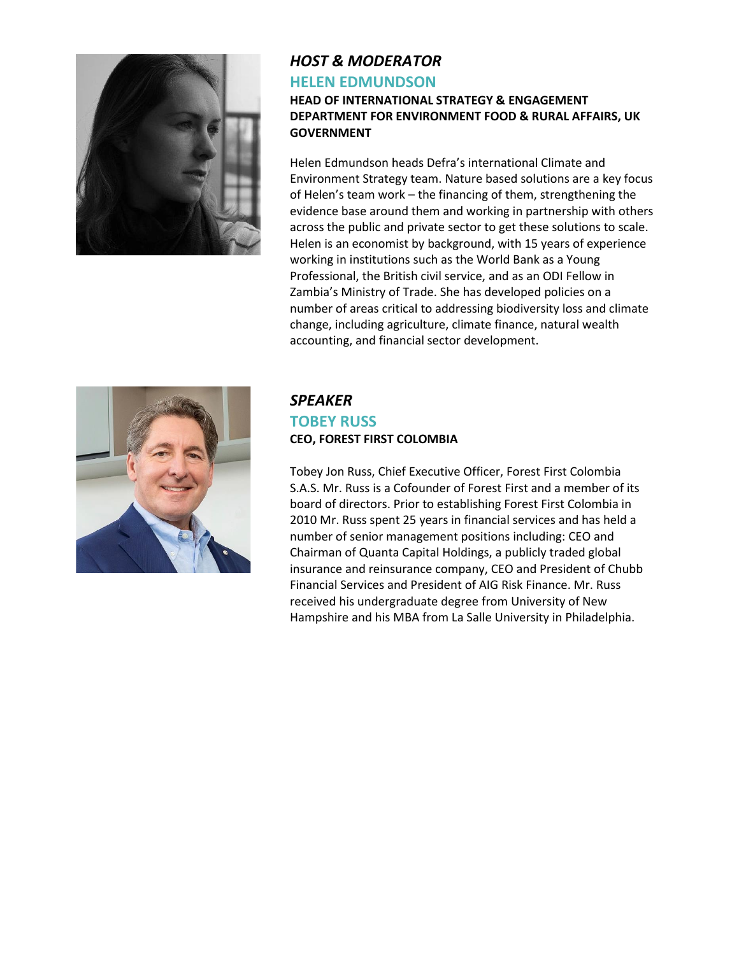

# *HOST & MODERATOR* **HELEN EDMUNDSON**

#### **HEAD OF INTERNATIONAL STRATEGY & ENGAGEMENT DEPARTMENT FOR ENVIRONMENT FOOD & RURAL AFFAIRS, UK GOVERNMENT**

Helen Edmundson heads Defra's international Climate and Environment Strategy team. Nature based solutions are a key focus of Helen's team work – the financing of them, strengthening the evidence base around them and working in partnership with others across the public and private sector to get these solutions to scale. Helen is an economist by background, with 15 years of experience working in institutions such as the World Bank as a Young Professional, the British civil service, and as an ODI Fellow in Zambia's Ministry of Trade. She has developed policies on a number of areas critical to addressing biodiversity loss and climate change, including agriculture, climate finance, natural wealth accounting, and financial sector development.



#### *SPEAKER* **TOBEY RUSS CEO, FOREST FIRST COLOMBIA**

Tobey Jon Russ, Chief Executive Officer, Forest First Colombia S.A.S. Mr. Russ is a Cofounder of Forest First and a member of its board of directors. Prior to establishing Forest First Colombia in 2010 Mr. Russ spent 25 years in financial services and has held a number of senior management positions including: CEO and Chairman of Quanta Capital Holdings, a publicly traded global insurance and reinsurance company, CEO and President of Chubb Financial Services and President of AIG Risk Finance. Mr. Russ received his undergraduate degree from University of New Hampshire and his MBA from La Salle University in Philadelphia.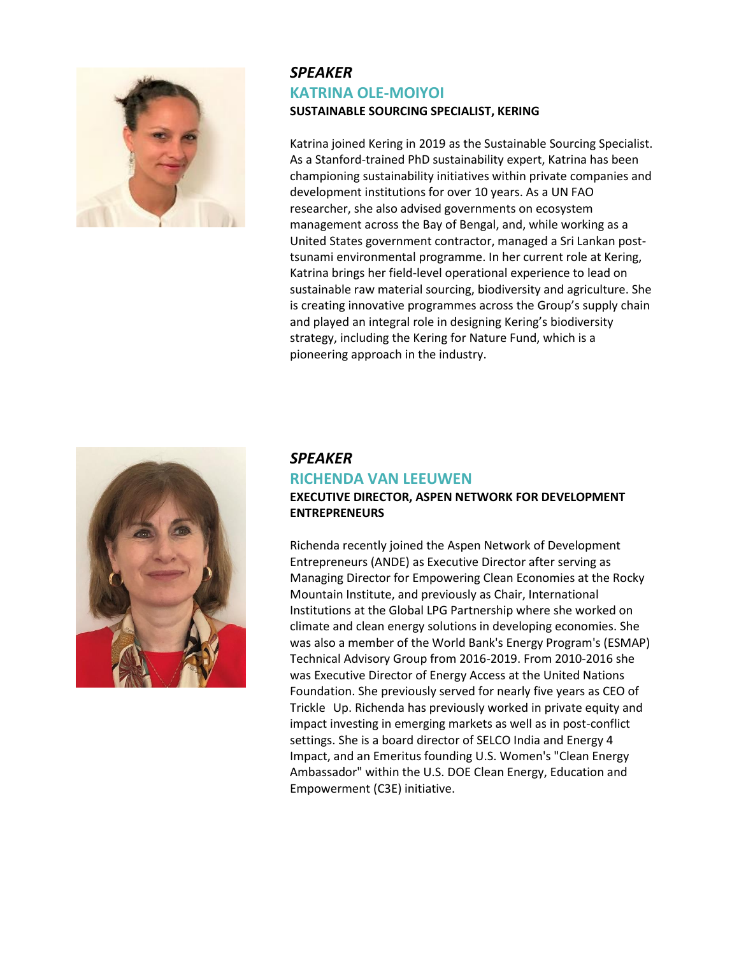

### *SPEAKER* **KATRINA OLE-MOIYOI SUSTAINABLE SOURCING SPECIALIST, KERING**

Katrina joined Kering in 2019 as the Sustainable Sourcing Specialist. As a Stanford-trained PhD sustainability expert, Katrina has been championing sustainability initiatives within private companies and development institutions for over 10 years. As a UN FAO researcher, she also advised governments on ecosystem management across the Bay of Bengal, and, while working as a United States government contractor, managed a Sri Lankan posttsunami environmental programme. In her current role at Kering, Katrina brings her field-level operational experience to lead on sustainable raw material sourcing, biodiversity and agriculture. She is creating innovative programmes across the Group's supply chain and played an integral role in designing Kering's biodiversity strategy, including the Kering for Nature Fund, which is a pioneering approach in the industry.



#### *SPEAKER* **RICHENDA VAN LEEUWEN**

#### **EXECUTIVE DIRECTOR, ASPEN NETWORK FOR DEVELOPMENT ENTREPRENEURS**

Richenda recently joined the Aspen Network of Development Entrepreneurs (ANDE) as Executive Director after serving as Managing Director for Empowering Clean Economies at the Rocky Mountain Institute, and previously as Chair, International Institutions at the Global LPG Partnership where she worked on climate and clean energy solutions in developing economies. She was also a member of the World Bank's Energy Program's (ESMAP) Technical Advisory Group from 2016-2019. From 2010-2016 she was Executive Director of Energy Access at the United Nations Foundation. She previously served for nearly five years as CEO of Trickle Up. Richenda has previously worked in private equity and impact investing in emerging markets as well as in post-conflict settings. She is a board director of SELCO India and Energy 4 Impact, and an Emeritus founding U.S. Women's "Clean Energy Ambassador" within the U.S. DOE Clean Energy, Education and Empowerment (C3E) initiative.